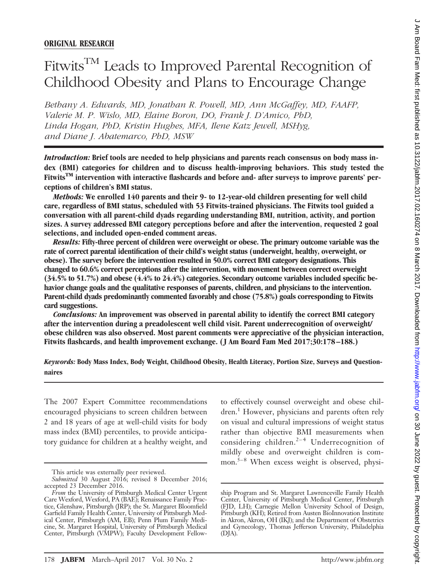# Fitwits<sup>TM</sup> Leads to Improved Parental Recognition of Childhood Obesity and Plans to Encourage Change

*Bethany A. Edwards, MD, Jonathan R. Powell, MD, Ann McGaffey, MD, FAAFP, Valerie M. P. Wislo, MD, Elaine Boron, DO, Frank J. D'Amico, PhD, Linda Hogan, PhD, Kristin Hughes, MFA, Ilene Katz Jewell, MSHyg, and Diane J. Abatemarco, PhD, MSW*

*Introduction:* **Brief tools are needed to help physicians and parents reach consensus on body mass index (BMI) categories for children and to discuss health-improving behaviors. This study tested the** Fitwits<sup>TM</sup> intervention with interactive flashcards and before and- after surveys to improve parents' per**ceptions of children's BMI status.**

*Methods:* **We enrolled 140 parents and their 9- to 12-year-old children presenting for well child care, regardless of BMI status, scheduled with 53 Fitwits-trained physicians. The Fitwits tool guided a conversation with all parent-child dyads regarding understanding BMI, nutrition, activity, and portion sizes. A survey addressed BMI category perceptions before and after the intervention, requested 2 goal selections, and included open-ended comment areas.**

*Results:* **Fifty-three percent of children were overweight or obese. The primary outcome variable was the rate of correct parental identification of their child's weight status (underweight, healthy, overweight, or obese). The survey before the intervention resulted in 50.0% correct BMI category designations. This changed to 60.6% correct perceptions after the intervention, with movement between correct overweight (34.5% to 51.7%) and obese (4.4% to 24.4%) categories. Secondary outcome variables included specific behavior change goals and the qualitative responses of parents, children, and physicians to the intervention. Parent-child dyads predominantly commented favorably and chose (75.8%) goals corresponding to Fitwits card suggestions.**

*Conclusions:* **An improvement was observed in parental ability to identify the correct BMI category after the intervention during a preadolescent well child visit. Parent underrecognition of overweight/ obese children was also observed. Most parent comments were appreciative of the physician interaction, Fitwits flashcards, and health improvement exchange. ( J Am Board Fam Med 2017;30:178 –188.)**

*Keywords:* **Body Mass Index, Body Weight, Childhood Obesity, Health Literacy, Portion Size, Surveys and Questionnaires**

The 2007 Expert Committee recommendations encouraged physicians to screen children between 2 and 18 years of age at well-child visits for body mass index (BMI) percentiles, to provide anticipatory guidance for children at a healthy weight, and

to effectively counsel overweight and obese children.<sup>1</sup> However, physicians and parents often rely on visual and cultural impressions of weight status rather than objective BMI measurements when considering children.<sup>2-4</sup> Underrecognition of mildly obese and overweight children is common.<sup>5–8</sup> When excess weight is observed, physi-

This article was externally peer reviewed.

*Submitted* 30 August 2016; revised 8 December 2016; accepted 23 December 2016.

*From* the University of Pittsburgh Medical Center Urgent Care Wexford, Wexford, PA (BAE); Renaissance Family Practice, Glenshaw, Pittsburgh (JRP); the St. Margaret Bloomfield Garfield Family Health Center, University of Pittsburgh Medical Center, Pittsburgh (AM, EB); Penn Plum Family Medicine, St. Margaret Hospital, University of Pittsburgh Medical Center, Pittsburgh (VMPW); Faculty Development Fellow-

ship Program and St. Margaret Lawrenceville Family Health Center, University of Pittsburgh Medical Center, Pittsburgh (FJD, LH); Carnegie Mellon University School of Design, Pittsburgh (KH); Retired from Austen BioInnovation Institute in Akron, Akron, OH (IKJ); and the Department of Obstetrics and Gynecology, Thomas Jefferson University, Philadelphia (DJA).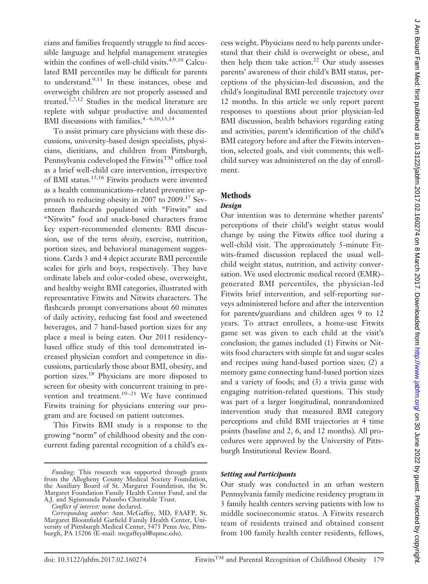cians and families frequently struggle to find accessible language and helpful management strategies within the confines of well-child visits. $4,9,10$  Calculated BMI percentiles may be difficult for parents to understand.<sup>9,11</sup> In these instances, obese and overweight children are not properly assessed and treated.5,7,12 Studies in the medical literature are replete with subpar productive and documented BMI discussions with families. $4 - 6,10,13,14$ 

To assist primary care physicians with these discussions, university-based design specialists, physicians, dietitians, and children from Pittsburgh, Pennsylvania codeveloped the Fitwits<sup>TM</sup> office tool as a brief well-child care intervention, irrespective of BMI status.<sup>15,16</sup> Fitwits products were invented as a health communications–related preventive approach to reducing obesity in 2007 to 2009.<sup>17</sup> Seventeen flashcards populated with "Fitwits" and "Nitwits" food and snack-based characters frame key expert-recommended elements: BMI discussion, use of the term *obesity*, exercise, nutrition, portion sizes, and behavioral management suggestions. Cards 3 and 4 depict accurate BMI percentile scales for girls and boys, respectively. They have ordinate labels and color-coded obese, overweight, and healthy weight BMI categories, illustrated with representative Fitwits and Nitwits characters. The flashcards prompt conversations about 60 minutes of daily activity, reducing fast food and sweetened beverages, and 7 hand-based portion sizes for any place a meal is being eaten. Our 2011 residencybased office study of this tool demonstrated increased physician comfort and competence in discussions, particularly those about BMI, obesity, and portion sizes.18 Physicians are more disposed to screen for obesity with concurrent training in prevention and treatment.<sup>19-21</sup> We have continued Fitwits training for physicians entering our program and are focused on patient outcomes.

This Fitwits BMI study is a response to the growing "norm" of childhood obesity and the concurrent fading parental recognition of a child's excess weight. Physicians need to help parents understand that their child is overweight or obese, and then help them take action.<sup>22</sup> Our study assesses parents' awareness of their child's BMI status, perceptions of the physician-led discussion, and the child's longitudinal BMI percentile trajectory over 12 months. In this article we only report parent responses to questions about prior physician-led BMI discussion, health behaviors regarding eating and activities, parent's identification of the child's BMI category before and after the Fitwits intervention, selected goals, and visit comments; this wellchild survey was administered on the day of enrollment.

# **Methods**

## *Design*

Our intention was to determine whether parents' perceptions of their child's weight status would change by using the Fitwits office tool during a well-child visit. The approximately 5-minute Fitwits-framed discussion replaced the usual wellchild weight status, nutrition, and activity conversation. We used electronic medical record (EMR)– generated BMI percentiles, the physician-led Fitwits brief intervention, and self-reporting surveys administered before and after the intervention for parents/guardians and children ages 9 to 12 years. To attract enrollees, a home-use Fitwits game set was given to each child at the visit's conclusion; the games included (1) Fitwits or Nitwits food characters with simple fat and sugar scales and recipes using hand-based portion sizes; (2) a memory game connecting hand-based portion sizes and a variety of foods; and (3) a trivia game with engaging nutrition-related questions. This study was part of a larger longitudinal, nonrandomized intervention study that measured BMI category perceptions and child BMI trajectories at 4 time points (baseline and 2, 6, and 12 months). All procedures were approved by the University of Pittsburgh Institutional Review Board.

#### *Setting and Participants*

Our study was conducted in an urban western Pennsylvania family medicine residency program in 3 family health centers serving patients with low to middle socioeconomic status. A Fitwits research team of residents trained and obtained consent from 100 family health center residents, fellows,

*Funding:* This research was supported through grants from the Allegheny County Medical Society Foundation, the Auxiliary Board of St. Margaret Foundation, the St. Margaret Foundation Family Health Center Fund, and the A.J. and Sigismunda Palumbo Charitable Trust.

*Conflict of interest:* none declared.

*Corresponding author:* Ann McGaffey, MD, FAAFP, St. Margaret Bloomfield Garfield Family Health Center, University of Pittsburgh Medical Center, 5475 Penn Ave, Pittsburgh, PA 15206 (E-mail: mcgaffeyal@upmc.edu).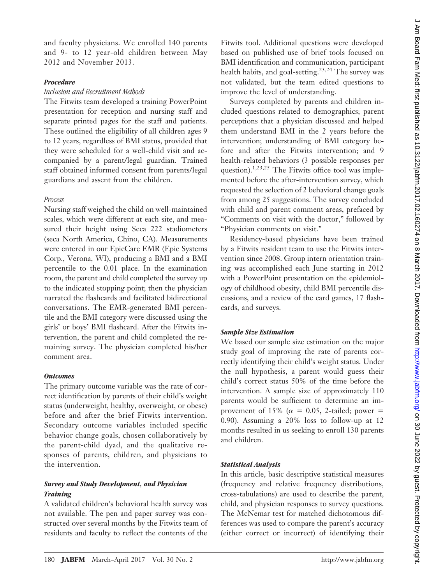and faculty physicians. We enrolled 140 parents and 9- to 12 year-old children between May 2012 and November 2013.

## *Procedure*

## *Inclusion and Recruitment Methods*

The Fitwits team developed a training PowerPoint presentation for reception and nursing staff and separate printed pages for the staff and patients. These outlined the eligibility of all children ages 9 to 12 years, regardless of BMI status, provided that they were scheduled for a well-child visit and accompanied by a parent/legal guardian. Trained staff obtained informed consent from parents/legal guardians and assent from the children.

#### *Process*

Nursing staff weighed the child on well-maintained scales, which were different at each site, and measured their height using Seca 222 stadiometers (seca North America, Chino, CA). Measurements were entered in our EpicCare EMR (Epic Systems Corp., Verona, WI), producing a BMI and a BMI percentile to the 0.01 place. In the examination room, the parent and child completed the survey up to the indicated stopping point; then the physician narrated the flashcards and facilitated bidirectional conversations. The EMR-generated BMI percentile and the BMI category were discussed using the girls' or boys' BMI flashcard. After the Fitwits intervention, the parent and child completed the remaining survey. The physician completed his/her comment area.

# *Outcomes*

The primary outcome variable was the rate of correct identification by parents of their child's weight status (underweight, healthy, overweight, or obese) before and after the brief Fitwits intervention. Secondary outcome variables included specific behavior change goals, chosen collaboratively by the parent-child dyad, and the qualitative responses of parents, children, and physicians to the intervention.

# *Survey and Study Development, and Physician Training*

A validated children's behavioral health survey was not available. The pen and paper survey was constructed over several months by the Fitwits team of residents and faculty to reflect the contents of the

Fitwits tool. Additional questions were developed based on published use of brief tools focused on BMI identification and communication, participant health habits, and goal-setting.<sup>23,24</sup> The survey was not validated, but the team edited questions to improve the level of understanding.

Surveys completed by parents and children included questions related to demographics; parent perceptions that a physician discussed and helped them understand BMI in the 2 years before the intervention; understanding of BMI category before and after the Fitwits intervention; and 9 health-related behaviors (3 possible responses per question).<sup>1,23,25</sup> The Fitwits office tool was implemented before the after-intervention survey, which requested the selection of 2 behavioral change goals from among 25 suggestions. The survey concluded with child and parent comment areas, prefaced by "Comments on visit with the doctor," followed by "Physician comments on visit."

Residency-based physicians have been trained by a Fitwits resident team to use the Fitwits intervention since 2008. Group intern orientation training was accomplished each June starting in 2012 with a PowerPoint presentation on the epidemiology of childhood obesity, child BMI percentile discussions, and a review of the card games, 17 flashcards, and surveys.

## *Sample Size Estimation*

We based our sample size estimation on the major study goal of improving the rate of parents correctly identifying their child's weight status. Under the null hypothesis, a parent would guess their child's correct status 50% of the time before the intervention. A sample size of approximately 110 parents would be sufficient to determine an improvement of 15% ( $\alpha = 0.05$ , 2-tailed; power = 0.90). Assuming a 20% loss to follow-up at 12 months resulted in us seeking to enroll 130 parents and children.

#### *Statistical Analysis*

In this article, basic descriptive statistical measures (frequency and relative frequency distributions, cross-tabulations) are used to describe the parent, child, and physician responses to survey questions. The McNemar test for matched dichotomous differences was used to compare the parent's accuracy (either correct or incorrect) of identifying their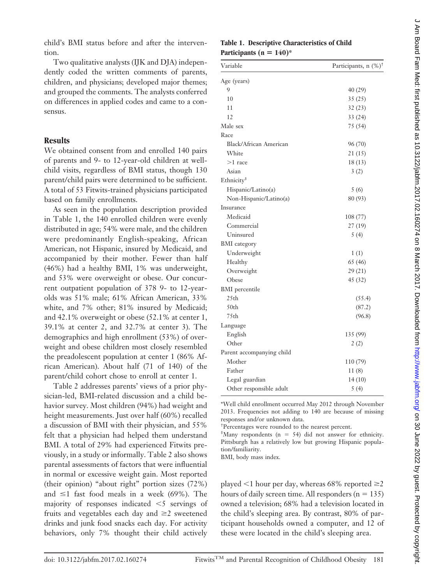child's BMI status before and after the intervention.

Two qualitative analysts (IJK and DJA) independently coded the written comments of parents, children, and physicians; developed major themes; and grouped the comments. The analysts conferred on differences in applied codes and came to a consensus.

# **Results**

We obtained consent from and enrolled 140 pairs of parents and 9- to 12-year-old children at wellchild visits, regardless of BMI status, though 130 parent/child pairs were determined to be sufficient. A total of 53 Fitwits-trained physicians participated based on family enrollments.

As seen in the population description provided in Table 1, the 140 enrolled children were evenly distributed in age; 54% were male, and the children were predominantly English-speaking, African American, not Hispanic, insured by Medicaid, and accompanied by their mother. Fewer than half (46%) had a healthy BMI, 1% was underweight, and 53% were overweight or obese. Our concurrent outpatient population of 378 9- to 12-yearolds was 51% male; 61% African American, 33% white, and 7% other; 81% insured by Medicaid; and 42.1% overweight or obese (52.1% at center 1, 39.1% at center 2, and 32.7% at center 3). The demographics and high enrollment (53%) of overweight and obese children most closely resembled the preadolescent population at center 1 (86% African American). About half (71 of 140) of the parent/child cohort chose to enroll at center 1.

Table 2 addresses parents' views of a prior physician-led, BMI-related discussion and a child behavior survey. Most children (94%) had weight and height measurements. Just over half (60%) recalled a discussion of BMI with their physician, and 55% felt that a physician had helped them understand BMI. A total of 29% had experienced Fitwits previously, in a study or informally. Table 2 also shows parental assessments of factors that were influential in normal or excessive weight gain. Most reported (their opinion) "about right" portion sizes (72%) and  $\leq$ 1 fast food meals in a week (69%). The majority of responses indicated  $\leq$  servings of fruits and vegetables each day and  $\geq 2$  sweetened drinks and junk food snacks each day. For activity behaviors, only 7% thought their child actively

# **Table 1. Descriptive Characteristics of Child** Participants  $(n = 140)^*$

| Variable                  | Participants, n (%) <sup>†</sup> |
|---------------------------|----------------------------------|
| Age (years)               |                                  |
| 9                         | 40 (29)                          |
| 10                        | 35(25)                           |
| 11                        | 32(23)                           |
| 12                        | 33 (24)                          |
| Male sex                  | 75 (54)                          |
| Race                      |                                  |
| Black/African American    | 96 (70)                          |
| White                     | 21 (15)                          |
| $>1$ race                 | 18(13)                           |
| Asian                     | 3(2)                             |
| Ethnicity <sup>‡</sup>    |                                  |
| Hispanic/Latino(a)        | 5(6)                             |
| Non-Hispanic/Latino(a)    | 80 (93)                          |
| Insurance                 |                                  |
| Medicaid                  | 108(77)                          |
| Commercial                | 27(19)                           |
| Uninsured                 | 5(4)                             |
| <b>BMI</b> category       |                                  |
| Underweight               | 1(1)                             |
| Healthy                   | 65 (46)                          |
| Overweight                | 29 (21)                          |
| Obese                     | 45 (32)                          |
| <b>BMI</b> percentile     |                                  |
| 25th                      | (55.4)                           |
| 50th                      | (87.2)                           |
| 75th                      | (96.8)                           |
| Language                  |                                  |
| English                   | 135 (99)                         |
| Other                     | 2(2)                             |
| Parent accompanying child |                                  |
| Mother                    | 110 (79)                         |
| Father                    | 11(8)                            |
| Legal guardian            | 14(10)                           |
| Other responsible adult   | 5(4)                             |

\*Well child enrollment occurred May 2012 through November 2013. Frequencies not adding to 140 are because of missing responses and/or unknown data.

† Percentages were rounded to the nearest percent.

‡ Many respondents (n 54) did not answer for ethnicity. Pittsburgh has a relatively low but growing Hispanic population/familiarity.

BMI, body mass index.

played  $\leq 1$  hour per day, whereas 68% reported  $\geq 2$ hours of daily screen time. All responders  $(n = 135)$ owned a television; 68% had a television located in the child's sleeping area. By contrast, 80% of participant households owned a computer, and 12 of these were located in the child's sleeping area.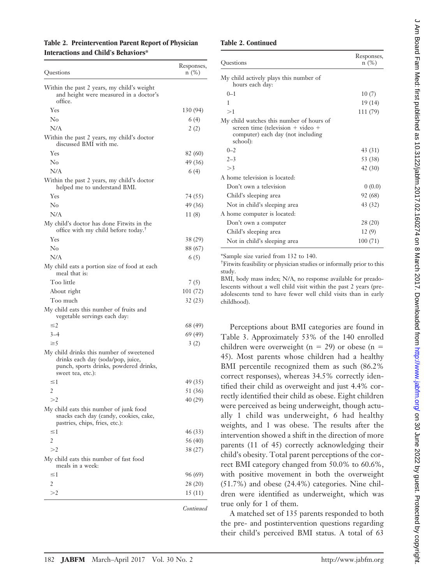## **Table 2. Preintervention Parent Report of Physician Interactions and Child's Behaviors\***

| Questions                                                                                                                                    | Responses,<br>$n(\%)$ |
|----------------------------------------------------------------------------------------------------------------------------------------------|-----------------------|
| Within the past 2 years, my child's weight<br>and height were measured in a doctor's<br>office.                                              |                       |
| Yes                                                                                                                                          | 130 (94)              |
| No                                                                                                                                           | 6 (4)                 |
| N/A                                                                                                                                          | 2(2)                  |
| Within the past 2 years, my child's doctor<br>discussed BMI with me.                                                                         |                       |
| Yes                                                                                                                                          | 82 (60)               |
| No                                                                                                                                           | 49 (36)               |
| N/A                                                                                                                                          | 6 (4)                 |
| Within the past 2 years, my child's doctor<br>helped me to understand BMI.                                                                   |                       |
| Yes                                                                                                                                          | 74 (55)               |
| No                                                                                                                                           | 49 (36)               |
| N/A                                                                                                                                          | 11(8)                 |
| My child's doctor has done Fitwits in the<br>office with my child before today. <sup>+</sup>                                                 |                       |
| Yes                                                                                                                                          | 38 (29)               |
| $N_0$                                                                                                                                        | 88 (67)               |
| N/A                                                                                                                                          | 6(5)                  |
| My child eats a portion size of food at each<br>meal that is:                                                                                |                       |
| Too little                                                                                                                                   | 7(5)                  |
| About right                                                                                                                                  | 101 (72)              |
| Too much                                                                                                                                     | 32 (23)               |
| My child eats this number of fruits and<br>vegetable servings each day:                                                                      |                       |
| $\leq$ 2                                                                                                                                     | 68 (49)               |
| $3 - 4$                                                                                                                                      | 69 (49)               |
| $\geq 5$                                                                                                                                     | 3(2)                  |
| My child drinks this number of sweetened<br>drinks each day (soda/pop, juice,<br>punch, sports drinks, powdered drinks,<br>sweet tea, etc.): |                       |
| ≤1                                                                                                                                           | 49 (35)               |
| 2                                                                                                                                            | 51 (36)               |
| >2                                                                                                                                           | 40 (29)               |
| My child eats this number of junk food<br>snacks each day (candy, cookies, cake,<br>pastries, chips, fries, etc.):                           |                       |
| ≤1                                                                                                                                           | 46 (33)               |
| 2                                                                                                                                            | 56 (40)               |
| >2                                                                                                                                           | 38 (27)               |
| My child eats this number of fast food<br>meals in a week:                                                                                   |                       |
| ≤1                                                                                                                                           | 96 (69)               |
| 2                                                                                                                                            | 28 (20)               |
| >2                                                                                                                                           | 15(11)                |
|                                                                                                                                              |                       |

*Continued*

#### **Table 2. Continued**

| Questions                                                                                                                      | Responses,<br>$n$ (%) |
|--------------------------------------------------------------------------------------------------------------------------------|-----------------------|
| My child actively plays this number of<br>hours each day:                                                                      |                       |
| $0 - 1$                                                                                                                        | 10(7)                 |
| 1                                                                                                                              | 19(14)                |
| >1                                                                                                                             | 111 (79)              |
| My child watches this number of hours of<br>screen time (television + video +<br>computer) each day (not including<br>school): |                       |
| $0 - 2$                                                                                                                        | 43 (31)               |
| $2 - 3$                                                                                                                        | 53 (38)               |
| >3                                                                                                                             | 42(30)                |
| A home television is located:                                                                                                  |                       |
| Don't own a television                                                                                                         | 0(0.0)                |
| Child's sleeping area                                                                                                          | 92 (68)               |
| Not in child's sleeping area                                                                                                   | 43 (32)               |
| A home computer is located:                                                                                                    |                       |
| Don't own a computer                                                                                                           | 28 (20)               |
| Child's sleeping area                                                                                                          | 12(9)                 |
| Not in child's sleeping area                                                                                                   | 100(71)               |

\*Sample size varied from 132 to 140.

† Fitwits feasibility or physician studies or informally prior to this study.

BMI, body mass index; N/A, no response available for preadolescents without a well child visit within the past 2 years (preadolescents tend to have fewer well child visits than in early childhood).

Perceptions about BMI categories are found in Table 3. Approximately 53% of the 140 enrolled children were overweight ( $n = 29$ ) or obese ( $n =$ 45). Most parents whose children had a healthy BMI percentile recognized them as such (86.2% correct responses), whereas 34.5% correctly identified their child as overweight and just 4.4% correctly identified their child as obese. Eight children were perceived as being underweight, though actually 1 child was underweight, 6 had healthy weights, and 1 was obese. The results after the intervention showed a shift in the direction of more parents (11 of 45) correctly acknowledging their child's obesity. Total parent perceptions of the correct BMI category changed from 50.0% to 60.6%, with positive movement in both the overweight (51.7%) and obese (24.4%) categories. Nine children were identified as underweight, which was true only for 1 of them.

A matched set of 135 parents responded to both the pre- and postintervention questions regarding their child's perceived BMI status. A total of 63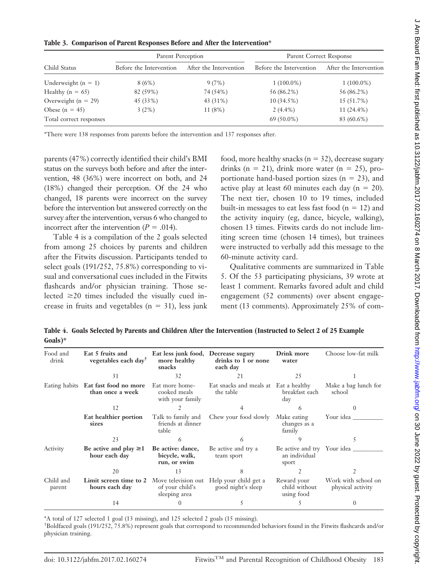|  |  |  | Table 3. Comparison of Parent Responses Before and After the Intervention* |  |
|--|--|--|----------------------------------------------------------------------------|--|
|  |  |  |                                                                            |  |

|                         | Parent Perception       |                        | Parent Correct Response |                        |
|-------------------------|-------------------------|------------------------|-------------------------|------------------------|
| Child Status            | Before the Intervention | After the Intervention | Before the Intervention | After the Intervention |
| Underweight $(n = 1)$   | 8(6%)                   | 9(7%)                  | $1(100.0\%)$            | $1(100.0\%)$           |
| Healthy ( $n = 65$ )    | 82 (59%)                | 74 (54%)               | 56 (86.2%)              | 56 (86.2%)             |
| Overweight ( $n = 29$ ) | 45 (33%)                | 43 (31%)               | $10(34.5\%)$            | 15 (51.7%)             |
| Obese $(n = 45)$        | 3(2%)                   | 11(8%)                 | $2(4.4\%)$              | $11(24.4\%)$           |
| Total correct responses |                         |                        | $69(50.0\%)$            | 83 (60.6%)             |

\*There were 138 responses from parents before the intervention and 137 responses after.

parents (47%) correctly identified their child's BMI status on the surveys both before and after the intervention, 48 (36%) were incorrect on both, and 24 (18%) changed their perception. Of the 24 who changed, 18 parents were incorrect on the survey before the intervention but answered correctly on the survey after the intervention, versus 6 who changed to incorrect after the intervention  $(P = .014)$ .

Table 4 is a compilation of the 2 goals selected from among 25 choices by parents and children after the Fitwits discussion. Participants tended to select goals (191/252, 75.8%) corresponding to visual and conversational cues included in the Fitwits flashcards and/or physician training. Those selected  $\geq$ 20 times included the visually cued increase in fruits and vegetables  $(n = 31)$ , less junk

food, more healthy snacks ( $n = 32$ ), decrease sugary drinks (n = 21), drink more water (n = 25), proportionate hand-based portion sizes  $(n = 23)$ , and active play at least 60 minutes each day  $(n = 20)$ . The next tier, chosen 10 to 19 times, included built-in messages to eat less fast food  $(n = 12)$  and the activity inquiry (eg, dance, bicycle, walking), chosen 13 times. Fitwits cards do not include limiting screen time (chosen 14 times), but trainees were instructed to verbally add this message to the 60-minute activity card.

Qualitative comments are summarized in Table 5. Of the 53 participating physicians, 39 wrote at least 1 comment. Remarks favored adult and child engagement (52 comments) over absent engagement (13 comments). Approximately 25% of com-

**Table 4. Goals Selected by Parents and Children After the Intervention (Instructed to Select 2 of 25 Example Goals)\***

| Food and<br>drink   | Eat 5 fruits and<br>vegetables each day <sup>t</sup>    | Eat less junk food, Decrease sugary<br>more healthy<br>snacks | drinks to 1 or none<br>each day                    | Drink more<br>water                                   | Choose low-fat milk                      |
|---------------------|---------------------------------------------------------|---------------------------------------------------------------|----------------------------------------------------|-------------------------------------------------------|------------------------------------------|
|                     | 31                                                      | 32                                                            | 21                                                 | 25                                                    |                                          |
|                     | Eating habits Eat fast food no more<br>than once a week | Eat more home-<br>cooked meals<br>with your family            | Eat snacks and meals at Eat a healthy<br>the table | breakfast each<br>day                                 | Make a bag lunch for<br>school           |
|                     | 12                                                      |                                                               |                                                    |                                                       |                                          |
|                     | Eat healthier portion<br>sizes                          | Talk to family and<br>friends at dinner<br>table              | Chew your food slowly                              | Make eating<br>changes as a<br>family                 | Your idea                                |
|                     | 23                                                      |                                                               |                                                    |                                                       |                                          |
| Activity            | Be active and play $\geq 1$<br>hour each day            | Be active: dance,<br>bicycle, walk,<br>run, or swim           | Be active and try a<br>team sport                  | Be active and try Your idea<br>an individual<br>sport |                                          |
|                     | 20                                                      | 13                                                            |                                                    |                                                       |                                          |
| Child and<br>parent | Limit screen time to 2<br>hours each day                | Move television out<br>of your child's<br>sleeping area       | Help your child get a<br>good night's sleep        | Reward your<br>child without<br>using food            | Work with school on<br>physical activity |
|                     | 14                                                      |                                                               |                                                    |                                                       | $\Omega$                                 |

\*A total of 127 selected 1 goal (13 missing), and 125 selected 2 goals (15 missing).

† Boldfaced goals (191/252, 75.8%) represent goals that correspond to recommended behaviors found in the Fitwits flashcards and/or physician training.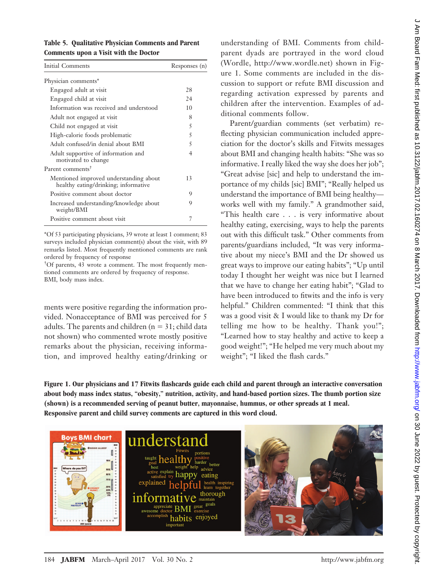| Table 5. Qualitative Physician Comments and Parent |
|----------------------------------------------------|
| Comments upon a Visit with the Doctor              |

| Initial Comments                                                               | Responses (n) |
|--------------------------------------------------------------------------------|---------------|
| Physician comments*                                                            |               |
| Engaged adult at visit                                                         | 28            |
| Engaged child at visit                                                         | 24            |
| Information was received and understood                                        | 10            |
| Adult not engaged at visit                                                     | 8             |
| Child not engaged at visit                                                     | 5             |
| High-calorie foods problematic                                                 | 5             |
| Adult confused/in denial about BMI                                             | 5             |
| Adult supportive of information and<br>motivated to change                     | 4             |
| Parent comments <sup>†</sup>                                                   |               |
| Mentioned improved understanding about<br>healthy eating/drinking; informative | 13            |
| Positive comment about doctor                                                  | 9             |
| Increased understanding/knowledge about<br>weight/BMI                          | 9             |
| Positive comment about visit                                                   | 7             |
|                                                                                |               |

\*Of 53 participating physicians, 39 wrote at least 1 comment; 83 surveys included physician comment(s) about the visit, with 89 remarks listed. Most frequently mentioned comments are rank ordered by frequency of response

† Of parents, 43 wrote a comment. The most frequently mentioned comments are ordered by frequency of response. BMI, body mass index.

ments were positive regarding the information provided. Nonacceptance of BMI was perceived for 5 adults. The parents and children  $(n = 31;$  child data not shown) who commented wrote mostly positive remarks about the physician, receiving information, and improved healthy eating/drinking or

understanding of BMI. Comments from childparent dyads are portrayed in the word cloud (Wordle, http://www.wordle.net) shown in Figure 1. Some comments are included in the discussion to support or refute BMI discussion and regarding activation expressed by parents and children after the intervention. Examples of additional comments follow.

Parent/guardian comments (set verbatim) reflecting physician communication included appreciation for the doctor's skills and Fitwits messages about BMI and changing health habits: "She was so informative. I really liked the way she does her job"; "Great advise [sic] and help to understand the importance of my childs [sic] BMI"; "Really helped us understand the importance of BMI being healthy works well with my family." A grandmother said, "This health care . . . is very informative about healthy eating, exercising, ways to help the parents out with this difficult task." Other comments from parents/guardians included, "It was very informative about my niece's BMI and the Dr showed us great ways to improve our eating habits"; "Up until today I thought her weight was nice but I learned that we have to change her eating habit"; "Glad to have been introduced to fitwits and the info is very helpful." Children commented: "I think that this was a good visit & I would like to thank my Dr for telling me how to be healthy. Thank you!"; "Learned how to stay healthy and active to keep a good weight!"; "He helped me very much about my weight"; "I liked the flash cards."

**Figure 1. Our physicians and 17 Fitwits flashcards guide each child and parent through an interactive conversation about body mass index status, "obesity," nutrition, activity, and hand-based portion sizes. The thumb portion size (shown) is a recommended serving of peanut butter, mayonnaise, hummus, or other spreads at 1 meal. Responsive parent and child survey comments are captured in this word cloud.**

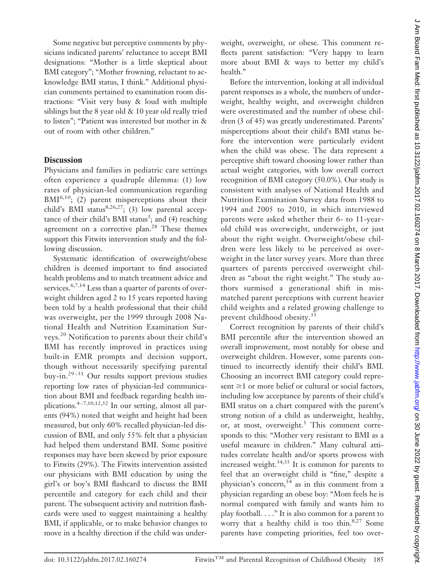Some negative but perceptive comments by physicians indicated parents' reluctance to accept BMI designations: "Mother is a little skeptical about BMI category"; "Mother frowning, reluctant to acknowledge BMI status, I think." Additional physician comments pertained to examination room distractions: "Visit very busy & loud with multiple siblings but the 8 year old & 10 year old really tried to listen"; "Patient was interested but mother in & out of room with other children."

# **Discussion**

Physicians and families in pediatric care settings often experience a quadruple dilemma: (1) low rates of physician-led communication regarding  $BMI^{6,10}$ ; (2) parent misperceptions about their child's BMI status $8,26,27$ ; (3) low parental acceptance of their child's BMI status<sup>3</sup>; and (4) reaching agreement on a corrective plan.<sup>28</sup> These themes support this Fitwits intervention study and the following discussion.

Systematic identification of overweight/obese children is deemed important to find associated health problems and to match treatment advice and services.<sup>6,7,14</sup> Less than a quarter of parents of overweight children aged 2 to 15 years reported having been told by a health professional that their child was overweight, per the 1999 through 2008 National Health and Nutrition Examination Surveys.<sup>20</sup> Notification to parents about their child's BMI has recently improved in practices using built-in EMR prompts and decision support, though without necessarily specifying parental buy-in.<sup>29-31</sup> Our results support previous studies reporting low rates of physician-led communication about BMI and feedback regarding health implications.<sup>4-7,10,12,32</sup> In our setting, almost all parents (94%) noted that weight and height had been measured, but only 60% recalled physician-led discussion of BMI, and only 55% felt that a physician had helped them understand BMI. Some positive responses may have been skewed by prior exposure to Fitwits (29%). The Fitwits intervention assisted our physicians with BMI education by using the girl's or boy's BMI flashcard to discuss the BMI percentile and category for each child and their parent. The subsequent activity and nutrition flashcards were used to suggest maintaining a healthy BMI, if applicable, or to make behavior changes to move in a healthy direction if the child was underweight, overweight, or obese. This comment reflects parent satisfaction: "Very happy to learn more about BMI & ways to better my child's health."

Before the intervention, looking at all individual parent responses as a whole, the numbers of underweight, healthy weight, and overweight children were overestimated and the number of obese children (3 of 45) was greatly underestimated. Parents' misperceptions about their child's BMI status before the intervention were particularly evident when the child was obese. The data represent a perceptive shift toward choosing lower rather than actual weight categories, with low overall correct recognition of BMI category (50.0%). Our study is consistent with analyses of National Health and Nutrition Examination Survey data from 1988 to 1994 and 2005 to 2010, in which interviewed parents were asked whether their 6- to 11-yearold child was overweight, underweight, or just about the right weight. Overweight/obese children were less likely to be perceived as overweight in the later survey years. More than three quarters of parents perceived overweight children as "about the right weight." The study authors surmised a generational shift in mismatched parent perceptions with current heavier child weights and a related growing challenge to prevent childhood obesity.<sup>33</sup>

Correct recognition by parents of their child's BMI percentile after the intervention showed an overall improvement, most notably for obese and overweight children. However, some parents continued to incorrectly identify their child's BMI. Choosing an incorrect BMI category could represent  $\geq 1$  or more belief or cultural or social factors, including low acceptance by parents of their child's BMI status on a chart compared with the parent's strong notion of a child as underweight, healthy, or, at most, overweight.<sup>3</sup> This comment corresponds to this: "Mother very resistant to BMI as a useful measure in children." Many cultural attitudes correlate health and/or sports prowess with increased weight. $34,35$  It is common for parents to feel that an overweight child is "fine," despite a physician's concern,<sup>34</sup> as in this comment from a physician regarding an obese boy: "Mom feels he is normal compared with family and wants him to play football. . . ." It is also common for a parent to worry that a healthy child is too thin. $8,27$  Some parents have competing priorities, feel too over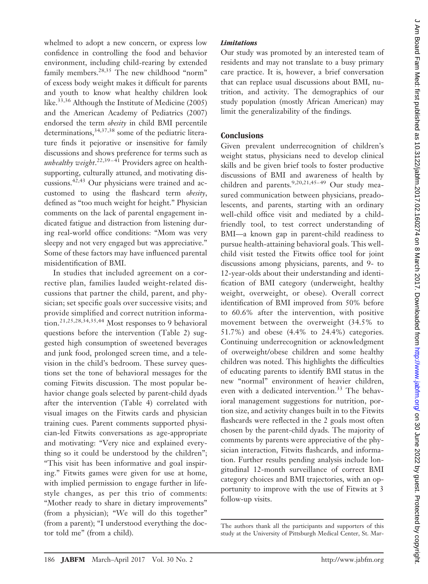whelmed to adopt a new concern, or express low confidence in controlling the food and behavior environment, including child-rearing by extended family members.<sup>28,35</sup> The new childhood "norm" of excess body weight makes it difficult for parents and youth to know what healthy children look like.<sup>33,36</sup> Although the Institute of Medicine (2005) and the American Academy of Pediatrics (2007) endorsed the term *obesity* in child BMI percentile determinations,  $34,37,38$  some of the pediatric literature finds it pejorative or insensitive for family discussions and shows preference for terms such as unhealthy weight.<sup>22,39–41</sup> Providers agree on healthsupporting, culturally attuned, and motivating discussions.<sup>42,43</sup> Our physicians were trained and accustomed to using the flashcard term *obesity*, defined as "too much weight for height." Physician comments on the lack of parental engagement indicated fatigue and distraction from listening during real-world office conditions: "Mom was very sleepy and not very engaged but was appreciative." Some of these factors may have influenced parental misidentification of BMI.

In studies that included agreement on a corrective plan, families lauded weight-related discussions that partner the child, parent, and physician; set specific goals over successive visits; and provide simplified and correct nutrition information.21,25,28,34,35,44 Most responses to 9 behavioral questions before the intervention (Table 2) suggested high consumption of sweetened beverages and junk food, prolonged screen time, and a television in the child's bedroom. These survey questions set the tone of behavioral messages for the coming Fitwits discussion. The most popular behavior change goals selected by parent-child dyads after the intervention (Table 4) correlated with visual images on the Fitwits cards and physician training cues. Parent comments supported physician-led Fitwits conversations as age-appropriate and motivating: "Very nice and explained everything so it could be understood by the children"; "This visit has been informative and goal inspiring." Fitwits games were given for use at home, with implied permission to engage further in lifestyle changes, as per this trio of comments: "Mother ready to share in dietary improvements" (from a physician); "We will do this together" (from a parent); "I understood everything the doctor told me" (from a child).

## *Limitations*

Our study was promoted by an interested team of residents and may not translate to a busy primary care practice. It is, however, a brief conversation that can replace usual discussions about BMI, nutrition, and activity. The demographics of our study population (mostly African American) may limit the generalizability of the findings.

## **Conclusions**

Given prevalent underrecognition of children's weight status, physicians need to develop clinical skills and be given brief tools to foster productive discussions of BMI and awareness of health by children and parents.<sup>9,20,21,45-49</sup> Our study measured communication between physicians, preadolescents, and parents, starting with an ordinary well-child office visit and mediated by a childfriendly tool, to test correct understanding of BMI—a known gap in parent-child readiness to pursue health-attaining behavioral goals. This wellchild visit tested the Fitwits office tool for joint discussions among physicians, parents, and 9- to 12-year-olds about their understanding and identification of BMI category (underweight, healthy weight, overweight, or obese). Overall correct identification of BMI improved from 50% before to 60.6% after the intervention, with positive movement between the overweight (34.5% to 51.7%) and obese (4.4% to 24.4%) categories. Continuing underrecognition or acknowledgment of overweight/obese children and some healthy children was noted. This highlights the difficulties of educating parents to identify BMI status in the new "normal" environment of heavier children, even with a dedicated intervention.<sup>33</sup> The behavioral management suggestions for nutrition, portion size, and activity changes built in to the Fitwits flashcards were reflected in the 2 goals most often chosen by the parent-child dyads. The majority of comments by parents were appreciative of the physician interaction, Fitwits flashcards, and information. Further results pending analysis include longitudinal 12-month surveillance of correct BMI category choices and BMI trajectories, with an opportunity to improve with the use of Fitwits at 3 follow-up visits.

The authors thank all the participants and supporters of this study at the University of Pittsburgh Medical Center, St. Mar-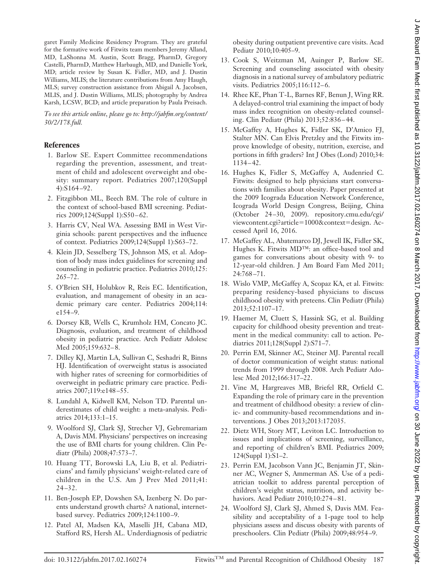garet Family Medicine Residency Program. They are grateful for the formative work of Fitwits team members Jeremy Alland, MD, LaShonna M. Austin, Scott Bragg, PharmD, Gregory Castelli, PharmD, Matthew Harbaugh, MD, and Danielle York, MD; article review by Susan K. Fidler, MD, and J. Dustin Williams, MLIS; the literature contributions from Amy Haugh, MLS; survey construction assistance from Abigail A. Jacobsen, MLIS, and J. Dustin Williams, MLIS; photography by Andrea Karsh, LCSW, BCD; and article preparation by Paula Preisach.

*To see this article online, please go to: [http://jabfm.org/content/](http://jabfm.org/content/30/2/178.full) [30/2/178.full.](http://jabfm.org/content/30/2/178.full)*

#### **References**

- 1. Barlow SE. Expert Committee recommendations regarding the prevention, assessment, and treatment of child and adolescent overweight and obesity: summary report. Pediatrics 2007;120(Suppl 4):S164 –92.
- 2. Fitzgibbon ML, Beech BM. The role of culture in the context of school-based BMI screening. Pediatrics 2009;124(Suppl 1):S50 – 62.
- 3. Harris CV, Neal WA. Assessing BMI in West Virginia schools: parent perspectives and the influence of context. Pediatrics 2009;124(Suppl 1):S63–72.
- 4. Klein JD, Sesselberg TS, Johnson MS, et al. Adoption of body mass index guidelines for screening and counseling in pediatric practice. Pediatrics 2010;125: 265–72.
- 5. O'Brien SH, Holubkov R, Reis EC. Identification, evaluation, and management of obesity in an academic primary care center. Pediatrics 2004;114: e154 –9.
- 6. Dorsey KB, Wells C, Krumholz HM, Concato JC. Diagnosis, evaluation, and treatment of childhood obesity in pediatric practice. Arch Pediatr Adolesc Med 2005;159:632-8.
- 7. Dilley KJ, Martin LA, Sullivan C, Seshadri R, Binns HJ. Identification of overweight status is associated with higher rates of screening for cormorbidities of overweight in pediatric primary care practice. Pediatrics 2007;119:e148 –55.
- 8. Lundahl A, Kidwell KM, Nelson TD. Parental underestimates of child weight: a meta-analysis. Pediatrics 2014;133:1–15.
- 9. Woolford SJ, Clark SJ, Strecher VJ, Gebremariam A, Davis MM. Physicians' perspectives on increasing the use of BMI charts for young children. Clin Pediatr (Phila) 2008;47:573–7.
- 10. Huang TT, Borowski LA, Liu B, et al. Pediatricians' and family physicians' weight-related care of children in the U.S. Am J Prev Med 2011;41:  $24 - 32.$
- 11. Ben-Joseph EP, Dowshen SA, Izenberg N. Do parents understand growth charts? A national, internetbased survey. Pediatrics 2009;124:1100 –9.
- 12. Patel AI, Madsen KA, Maselli JH, Cabana MD, Stafford RS, Hersh AL. Underdiagnosis of pediatric

obesity during outpatient preventive care visits. Acad Pediatr 2010;10:405–9.

- 13. Cook S, Weitzman M, Auinger P, Barlow SE. Screening and counseling associated with obesity diagnosis in a national survey of ambulatory pediatric visits. Pediatrics 2005;116:112-6.
- 14. Rhee KE, Phan T-L, Barnes RF, Benun J, Wing RR. A delayed-control trial examining the impact of body mass index recognition on obesity-related counseling. Clin Pediatr (Phila) 2013;52:836 – 44.
- 15. McGaffey A, Hughes K, Fidler SK, D'Amico FJ, Stalter MN. Can Elvis Pretzley and the Fitwits improve knowledge of obesity, nutrition, exercise, and portions in fifth graders? Int J Obes (Lond) 2010;34: 1134 – 42.
- 16. Hughes K, Fidler S, McGaffey A, Audenried C. Fitwits: designed to help physicians start conversations with families about obesity. Paper presented at the 2009 Icograda Education Network Conference, Icograda World Design Congress, Beijing, China (October 24 –30, 2009). [repository.cmu.edu/cgi/](repository.cmu.edu/cgi/viewcontent.cgi?article=1000&context=design) [viewcontent.cgi?article](repository.cmu.edu/cgi/viewcontent.cgi?article=1000&context=design)=1000&context=design. Accessed April 16, 2016.
- 17. McGaffey AL, Abatemarco DJ, Jewell IK, Fidler SK, Hughes K. Fitwits MD™: an office-based tool and games for conversations about obesity with 9- to 12-year-old children. J Am Board Fam Med 2011; 24:768 –71.
- 18. Wislo VMP, McGaffey A, Scopaz KA, et al. Fitwits: preparing residency-based physicians to discuss childhood obesity with preteens. Clin Pediatr (Phila) 2013;52:1107–17.
- 19. Haemer M, Cluett S, Hassink SG, et al. Building capacity for childhood obesity prevention and treatment in the medical community: call to action. Pediatrics 2011;128(Suppl 2):S71–7.
- 20. Perrin EM, Skinner AC, Steiner MJ. Parental recall of doctor communication of weight status: national trends from 1999 through 2008. Arch Pediatr Adolesc Med 2012;166:317–22.
- 21. Vine M, Hargreaves MB, Briefel RR, Orfield C. Expanding the role of primary care in the prevention and treatment of childhood obesity: a review of clinic- and community-based recommendations and interventions. J Obes 2013;2013:172035.
- 22. Dietz WH, Story MT, Leviton LC. Introduction to issues and implications of screening, surveillance, and reporting of children's BMI. Pediatrics 2009; 124(Suppl 1):S1–2.
- 23. Perrin EM, Jacobson Vann JC, Benjamin JT, Skinner AC, Wegner S, Ammerman AS. Use of a pediatrician toolkit to address parental perception of children's weight status, nutrition, and activity behaviors. Acad Pediatr 2010;10:274 – 81.
- 24. Woolford SJ, Clark SJ, Ahmed S, Davis MM. Feasibility and acceptability of a 1-page tool to help physicians assess and discuss obesity with parents of preschoolers. Clin Pediatr (Phila) 2009;48:954 –9.